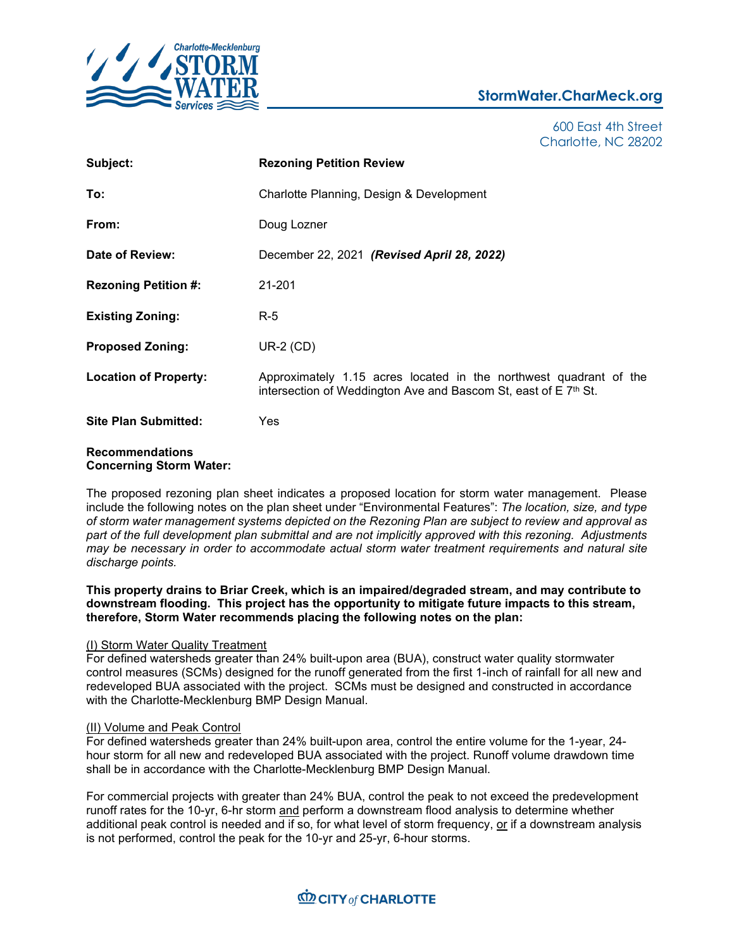

# **StormWater.CharMeck.org**

600 East 4th Street Charlotte, NC 28202

| Subject:                                                 | <b>Rezoning Petition Review</b>                                                                                                      |
|----------------------------------------------------------|--------------------------------------------------------------------------------------------------------------------------------------|
| To:                                                      | Charlotte Planning, Design & Development                                                                                             |
| From:                                                    | Doug Lozner                                                                                                                          |
| Date of Review:                                          | December 22, 2021 (Revised April 28, 2022)                                                                                           |
| <b>Rezoning Petition #:</b>                              | 21-201                                                                                                                               |
| <b>Existing Zoning:</b>                                  | $R-5$                                                                                                                                |
| <b>Proposed Zoning:</b>                                  | $UR-2$ (CD)                                                                                                                          |
| <b>Location of Property:</b>                             | Approximately 1.15 acres located in the northwest quadrant of the<br>intersection of Weddington Ave and Bascom St, east of E 7th St. |
| <b>Site Plan Submitted:</b>                              | Yes                                                                                                                                  |
| <b>Recommendations</b><br><b>Concerning Storm Water:</b> |                                                                                                                                      |

The proposed rezoning plan sheet indicates a proposed location for storm water management. Please include the following notes on the plan sheet under "Environmental Features": *The location, size, and type of storm water management systems depicted on the Rezoning Plan are subject to review and approval as part of the full development plan submittal and are not implicitly approved with this rezoning. Adjustments may be necessary in order to accommodate actual storm water treatment requirements and natural site discharge points.*

**This property drains to Briar Creek, which is an impaired/degraded stream, and may contribute to downstream flooding. This project has the opportunity to mitigate future impacts to this stream, therefore, Storm Water recommends placing the following notes on the plan:**

## (I) Storm Water Quality Treatment

For defined watersheds greater than 24% built-upon area (BUA), construct water quality stormwater control measures (SCMs) designed for the runoff generated from the first 1-inch of rainfall for all new and redeveloped BUA associated with the project. SCMs must be designed and constructed in accordance with the Charlotte-Mecklenburg BMP Design Manual.

# (II) Volume and Peak Control

For defined watersheds greater than 24% built-upon area, control the entire volume for the 1-year, 24 hour storm for all new and redeveloped BUA associated with the project. Runoff volume drawdown time shall be in accordance with the Charlotte-Mecklenburg BMP Design Manual.

For commercial projects with greater than 24% BUA, control the peak to not exceed the predevelopment runoff rates for the 10-yr, 6-hr storm and perform a downstream flood analysis to determine whether additional peak control is needed and if so, for what level of storm frequency, or if a downstream analysis is not performed, control the peak for the 10-yr and 25-yr, 6-hour storms.